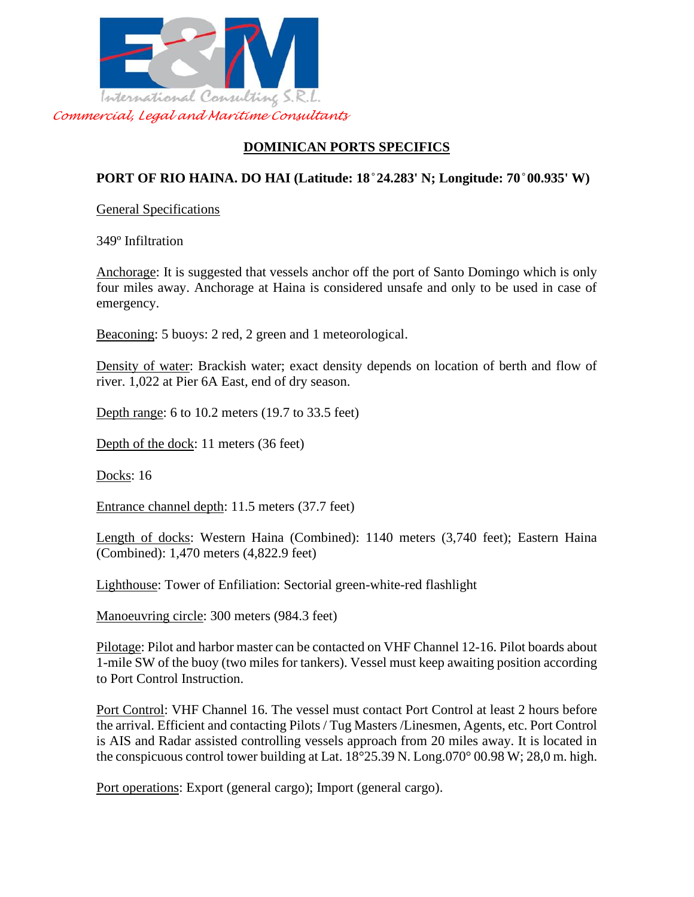

# **DOMINICAN PORTS SPECIFICS**

# **PORT OF RIO HAINA. DO HAI (Latitude: 18 ̊24.283' N; Longitude: 70 ̊00.935' W)**

General Specifications

349º Infiltration

Anchorage: It is suggested that vessels anchor off the port of Santo Domingo which is only four miles away. Anchorage at Haina is considered unsafe and only to be used in case of emergency.

Beaconing: 5 buoys: 2 red, 2 green and 1 meteorological.

Density of water: Brackish water; exact density depends on location of berth and flow of river. 1,022 at Pier 6A East, end of dry season.

Depth range: 6 to 10.2 meters (19.7 to 33.5 feet)

Depth of the dock: 11 meters (36 feet)

Docks: 16

Entrance channel depth: 11.5 meters (37.7 feet)

Length of docks: Western Haina (Combined): 1140 meters (3,740 feet); Eastern Haina (Combined): 1,470 meters (4,822.9 feet)

Lighthouse: Tower of Enfiliation: Sectorial green-white-red flashlight

Manoeuvring circle: 300 meters (984.3 feet)

Pilotage: Pilot and harbor master can be contacted on VHF Channel 12-16. Pilot boards about 1-mile SW of the buoy (two miles for tankers). Vessel must keep awaiting position according to Port Control Instruction.

Port Control: VHF Channel 16. The vessel must contact Port Control at least 2 hours before the arrival. Efficient and contacting Pilots / Tug Masters /Linesmen, Agents, etc. Port Control is AIS and Radar assisted controlling vessels approach from 20 miles away. It is located in the conspicuous control tower building at Lat. 18°25.39 N. Long.070° 00.98 W; 28,0 m. high.

Port operations: Export (general cargo); Import (general cargo).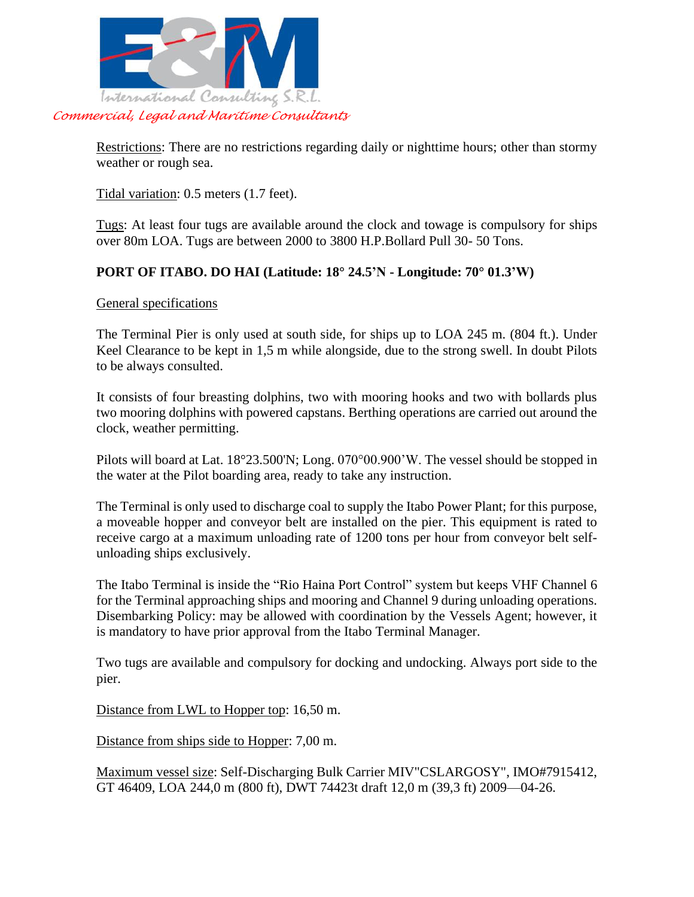

Restrictions: There are no restrictions regarding daily or nighttime hours; other than stormy weather or rough sea.

Tidal variation: 0.5 meters (1.7 feet).

Tugs: At least four tugs are available around the clock and towage is compulsory for ships over 80m LOA. Tugs are between 2000 to 3800 H.P.Bollard Pull 30- 50 Tons.

### **PORT OF ITABO. DO HAI (Latitude: 18° 24.5'N - Longitude: 70° 01.3'W)**

#### General specifications

The Terminal Pier is only used at south side, for ships up to LOA 245 m. (804 ft.). Under Keel Clearance to be kept in 1,5 m while alongside, due to the strong swell. In doubt Pilots to be always consulted.

It consists of four breasting dolphins, two with mooring hooks and two with bollards plus two mooring dolphins with powered capstans. Berthing operations are carried out around the clock, weather permitting.

Pilots will board at Lat. 18°23.500'N; Long. 070°00.900'W. The vessel should be stopped in the water at the Pilot boarding area, ready to take any instruction.

The Terminal is only used to discharge coal to supply the Itabo Power Plant; for this purpose, a moveable hopper and conveyor belt are installed on the pier. This equipment is rated to receive cargo at a maximum unloading rate of 1200 tons per hour from conveyor belt selfunloading ships exclusively.

The Itabo Terminal is inside the "Rio Haina Port Control" system but keeps VHF Channel 6 for the Terminal approaching ships and mooring and Channel 9 during unloading operations. Disembarking Policy: may be allowed with coordination by the Vessels Agent; however, it is mandatory to have prior approval from the Itabo Terminal Manager.

Two tugs are available and compulsory for docking and undocking. Always port side to the pier.

Distance from LWL to Hopper top: 16,50 m.

Distance from ships side to Hopper: 7,00 m.

Maximum vessel size: Self-Discharging Bulk Carrier MIV"CSLARGOSY", IMO#7915412, GT 46409, LOA 244,0 m (800 ft), DWT 74423t draft 12,0 m (39,3 ft) 2009—04-26.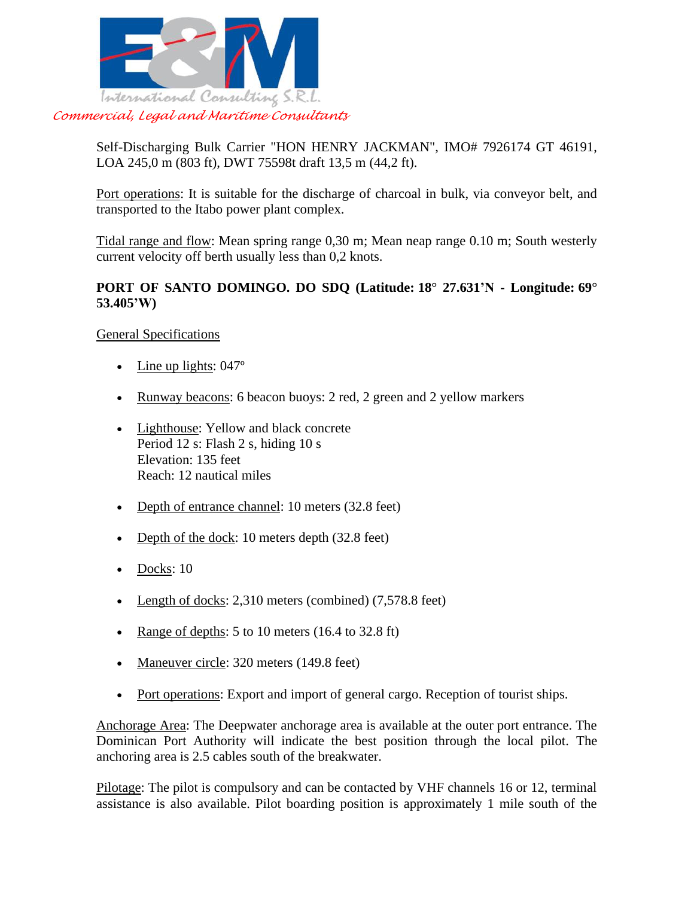

Self-Discharging Bulk Carrier "HON HENRY JACKMAN", IMO# 7926174 GT 46191, LOA 245,0 m (803 ft), DWT 75598t draft 13,5 m (44,2 ft).

Port operations: It is suitable for the discharge of charcoal in bulk, via conveyor belt, and transported to the Itabo power plant complex.

Tidal range and flow: Mean spring range 0,30 m; Mean neap range 0.10 m; South westerly current velocity off berth usually less than 0,2 knots.

### **PORT OF SANTO DOMINGO. DO SDQ (Latitude: 18° 27.631'N - Longitude: 69° 53.405'W)**

General Specifications

- Line up lights: 047°
- Runway beacons: 6 beacon buoys: 2 red, 2 green and 2 yellow markers
- Lighthouse: Yellow and black concrete Period 12 s: Flash 2 s, hiding 10 s Elevation: 135 feet Reach: 12 nautical miles
- Depth of entrance channel: 10 meters (32.8 feet)
- Depth of the dock: 10 meters depth (32.8 feet)
- Docks: 10
- Length of docks: 2,310 meters (combined) (7,578.8 feet)
- Range of depths: 5 to 10 meters  $(16.4 \text{ to } 32.8 \text{ ft})$
- Maneuver circle: 320 meters (149.8 feet)
- Port operations: Export and import of general cargo. Reception of tourist ships.

Anchorage Area: The Deepwater anchorage area is available at the outer port entrance. The Dominican Port Authority will indicate the best position through the local pilot. The anchoring area is 2.5 cables south of the breakwater.

Pilotage: The pilot is compulsory and can be contacted by VHF channels 16 or 12, terminal assistance is also available. Pilot boarding position is approximately 1 mile south of the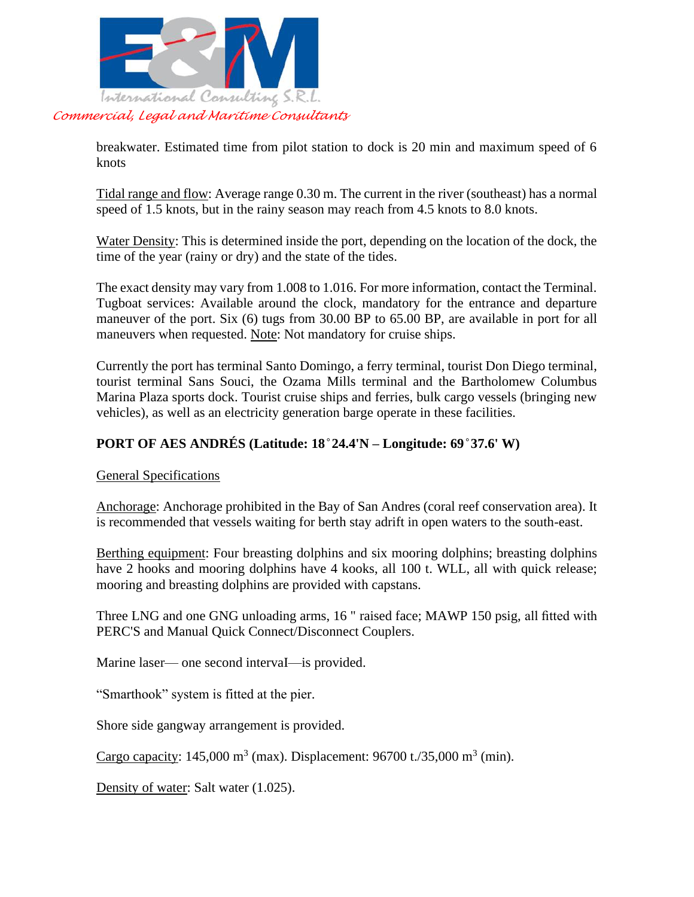

breakwater. Estimated time from pilot station to dock is 20 min and maximum speed of 6 knots

Tidal range and flow: Average range 0.30 m. The current in the river (southeast) has a normal speed of 1.5 knots, but in the rainy season may reach from 4.5 knots to 8.0 knots.

Water Density: This is determined inside the port, depending on the location of the dock, the time of the year (rainy or dry) and the state of the tides.

The exact density may vary from 1.008 to 1.016. For more information, contact the Terminal. Tugboat services: Available around the clock, mandatory for the entrance and departure maneuver of the port. Six (6) tugs from 30.00 BP to 65.00 BP, are available in port for all maneuvers when requested. Note: Not mandatory for cruise ships.

Currently the port has terminal Santo Domingo, a ferry terminal, tourist Don Diego terminal, tourist terminal Sans Souci, the Ozama Mills terminal and the Bartholomew Columbus Marina Plaza sports dock. Tourist cruise ships and ferries, bulk cargo vessels (bringing new vehicles), as well as an electricity generation barge operate in these facilities.

# **PORT OF AES ANDRÉS (Latitude: 18 ̊24.4'N – Longitude: 69 ̊37.6' W)**

General Specifications

Anchorage: Anchorage prohibited in the Bay of San Andres (coral reef conservation area). It is recommended that vessels waiting for berth stay adrift in open waters to the south-east.

Berthing equipment: Four breasting dolphins and six mooring dolphins; breasting dolphins have 2 hooks and mooring dolphins have 4 kooks, all 100 t. WLL, all with quick release; mooring and breasting dolphins are provided with capstans.

Three LNG and one GNG unloading arms, 16 " raised face; MAWP 150 psig, all fitted with PERC'S and Manual Quick Connect/Disconnect Couplers.

Marine laser— one second intervaI—is provided.

"Smarthook" system is fitted at the pier.

Shore side gangway arrangement is provided.

Cargo capacity: 145,000 m<sup>3</sup> (max). Displacement: 96700 t./35,000 m<sup>3</sup> (min).

Density of water: Salt water (1.025).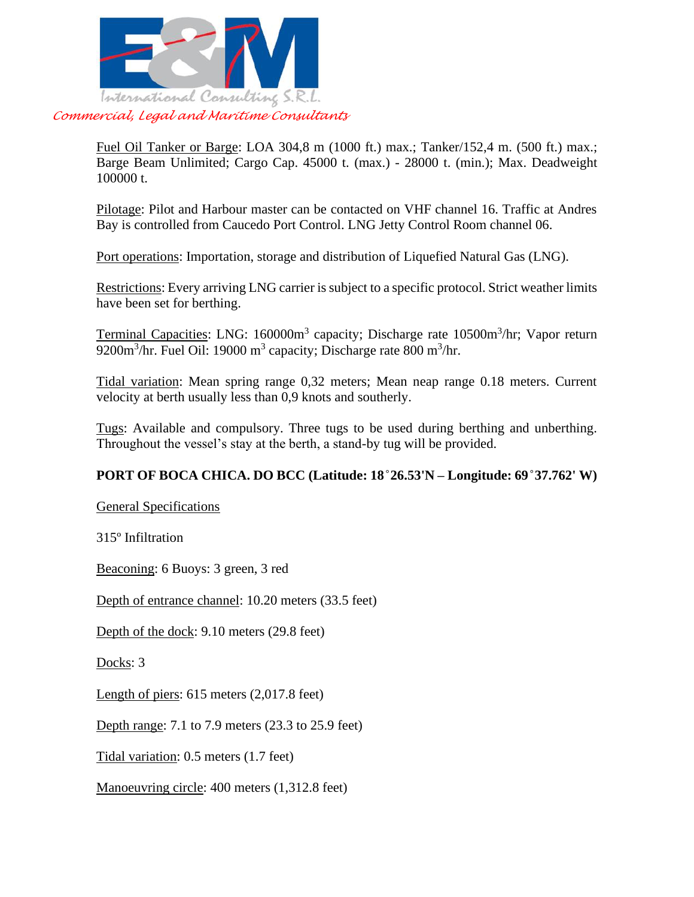

Fuel Oil Tanker or Barge: LOA 304,8 m (1000 ft.) max.; Tanker/152,4 m. (500 ft.) max.; Barge Beam Unlimited; Cargo Cap. 45000 t. (max.) - 28000 t. (min.); Max. Deadweight 100000 t.

Pilotage: Pilot and Harbour master can be contacted on VHF channel 16. Traffic at Andres Bay is controlled from Caucedo Port Control. LNG Jetty Control Room channel 06.

Port operations: Importation, storage and distribution of Liquefied Natural Gas (LNG).

Restrictions: Every arriving LNG carrier is subject to a specific protocol. Strict weather limits have been set for berthing.

Terminal Capacities: LNG: 160000m<sup>3</sup> capacity; Discharge rate 10500m<sup>3</sup>/hr; Vapor return 9200m<sup>3</sup>/hr. Fuel Oil: 19000 m<sup>3</sup> capacity; Discharge rate 800 m<sup>3</sup>/hr.

Tidal variation: Mean spring range 0,32 meters; Mean neap range 0.18 meters. Current velocity at berth usually less than 0,9 knots and southerly.

Tugs: Available and compulsory. Three tugs to be used during berthing and unberthing. Throughout the vessel's stay at the berth, a stand-by tug will be provided.

# **PORT OF BOCA CHICA. DO BCC (Latitude: 18 ̊26.53'N – Longitude: 69 ̊37.762' W)**

General Specifications

315º Infiltration

Beaconing: 6 Buoys: 3 green, 3 red

Depth of entrance channel: 10.20 meters (33.5 feet)

Depth of the dock: 9.10 meters (29.8 feet)

Docks: 3

Length of piers: 615 meters (2,017.8 feet)

Depth range: 7.1 to 7.9 meters (23.3 to 25.9 feet)

Tidal variation: 0.5 meters (1.7 feet)

Manoeuvring circle: 400 meters (1,312.8 feet)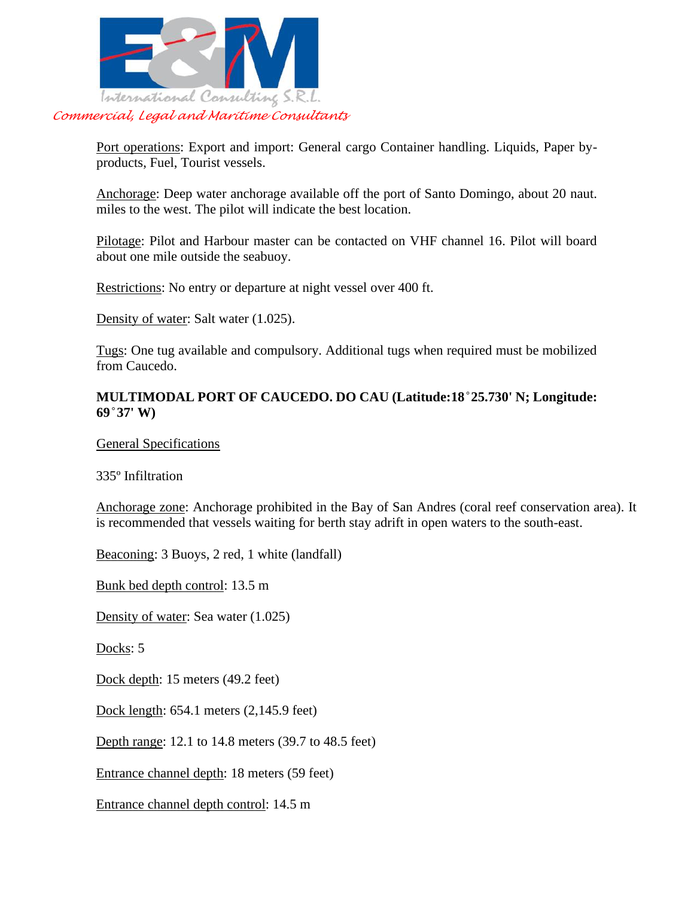

Port operations: Export and import: General cargo Container handling. Liquids, Paper byproducts, Fuel, Tourist vessels.

Anchorage: Deep water anchorage available off the port of Santo Domingo, about 20 naut. miles to the west. The pilot will indicate the best location.

Pilotage: Pilot and Harbour master can be contacted on VHF channel 16. Pilot will board about one mile outside the seabuoy.

Restrictions: No entry or departure at night vessel over 400 ft.

Density of water: Salt water (1.025).

Tugs: One tug available and compulsory. Additional tugs when required must be mobilized from Caucedo.

#### **MULTIMODAL PORT OF CAUCEDO. DO CAU (Latitude:18 ̊25.730' N; Longitude: 69 ̊37' W)**

#### General Specifications

335º Infiltration

Anchorage zone: Anchorage prohibited in the Bay of San Andres (coral reef conservation area). It is recommended that vessels waiting for berth stay adrift in open waters to the south-east.

Beaconing: 3 Buoys, 2 red, 1 white (landfall)

Bunk bed depth control: 13.5 m

Density of water: Sea water (1.025)

Docks: 5

Dock depth: 15 meters (49.2 feet)

Dock length: 654.1 meters (2,145.9 feet)

Depth range: 12.1 to 14.8 meters (39.7 to 48.5 feet)

Entrance channel depth: 18 meters (59 feet)

Entrance channel depth control: 14.5 m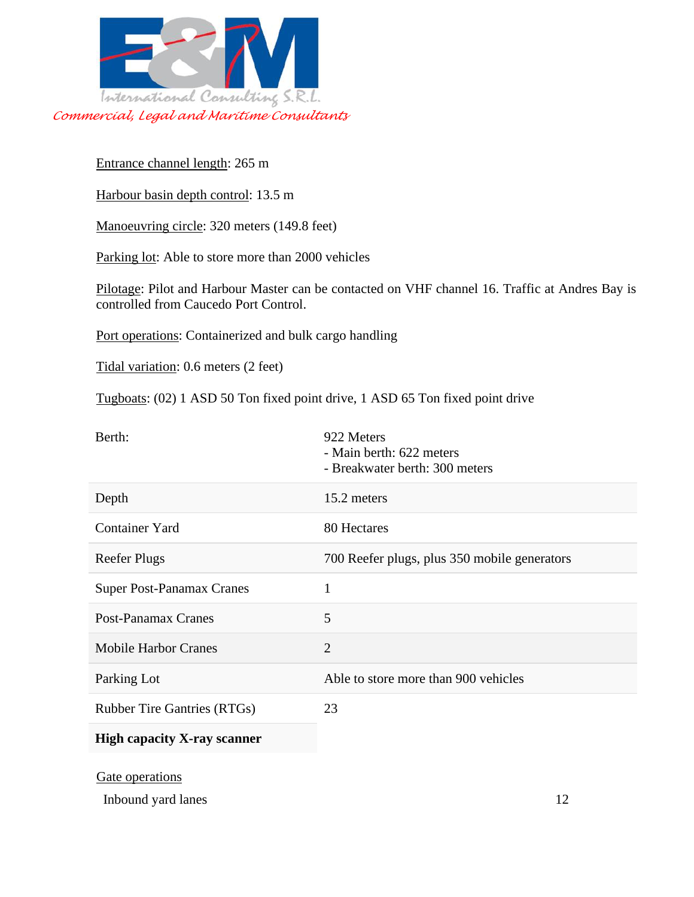

Entrance channel length: 265 m

Harbour basin depth control: 13.5 m

Manoeuvring circle: 320 meters (149.8 feet)

Parking lot: Able to store more than 2000 vehicles

Pilotage: Pilot and Harbour Master can be contacted on VHF channel 16. Traffic at Andres Bay is controlled from Caucedo Port Control.

Port operations: Containerized and bulk cargo handling

Tidal variation: 0.6 meters (2 feet)

Tugboats: (02) 1 ASD 50 Ton fixed point drive, 1 ASD 65 Ton fixed point drive

| Berth:                             | 922 Meters<br>- Main berth: 622 meters<br>- Breakwater berth: 300 meters |
|------------------------------------|--------------------------------------------------------------------------|
| Depth                              | 15.2 meters                                                              |
| Container Yard                     | 80 Hectares                                                              |
| <b>Reefer Plugs</b>                | 700 Reefer plugs, plus 350 mobile generators                             |
| <b>Super Post-Panamax Cranes</b>   | 1                                                                        |
| <b>Post-Panamax Cranes</b>         | 5                                                                        |
| <b>Mobile Harbor Cranes</b>        | $\mathfrak{2}$                                                           |
| Parking Lot                        | Able to store more than 900 vehicles                                     |
| <b>Rubber Tire Gantries (RTGs)</b> | 23                                                                       |
| <b>High capacity X-ray scanner</b> |                                                                          |
| Gate operations                    |                                                                          |

Gate operations

Inbound yard lanes 12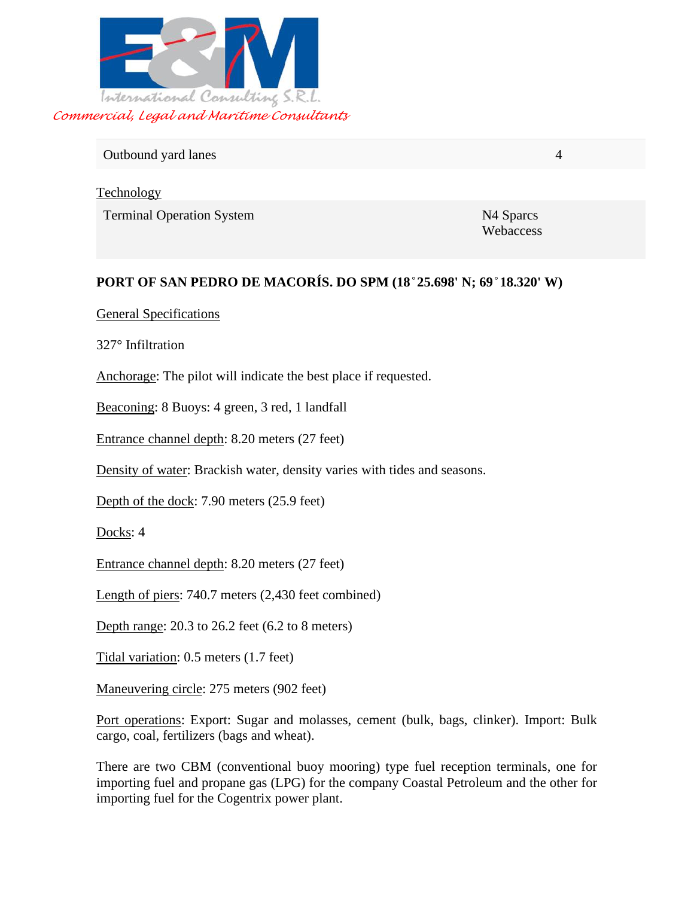

# Outbound yard lanes 4

Technology

Terminal Operation System N4 Sparcs

Webaccess

# **PORT OF SAN PEDRO DE MACORÍS. DO SPM (18 ̊25.698' N; 69 ̊18.320' W)**

### General Specifications

327° Infiltration

Anchorage: The pilot will indicate the best place if requested.

Beaconing: 8 Buoys: 4 green, 3 red, 1 landfall

Entrance channel depth: 8.20 meters (27 feet)

Density of water: Brackish water, density varies with tides and seasons.

Depth of the dock: 7.90 meters (25.9 feet)

Docks: 4

Entrance channel depth: 8.20 meters (27 feet)

Length of piers: 740.7 meters (2,430 feet combined)

Depth range: 20.3 to 26.2 feet (6.2 to 8 meters)

Tidal variation: 0.5 meters (1.7 feet)

Maneuvering circle: 275 meters (902 feet)

Port operations: Export: Sugar and molasses, cement (bulk, bags, clinker). Import: Bulk cargo, coal, fertilizers (bags and wheat).

There are two CBM (conventional buoy mooring) type fuel reception terminals, one for importing fuel and propane gas (LPG) for the company Coastal Petroleum and the other for importing fuel for the Cogentrix power plant.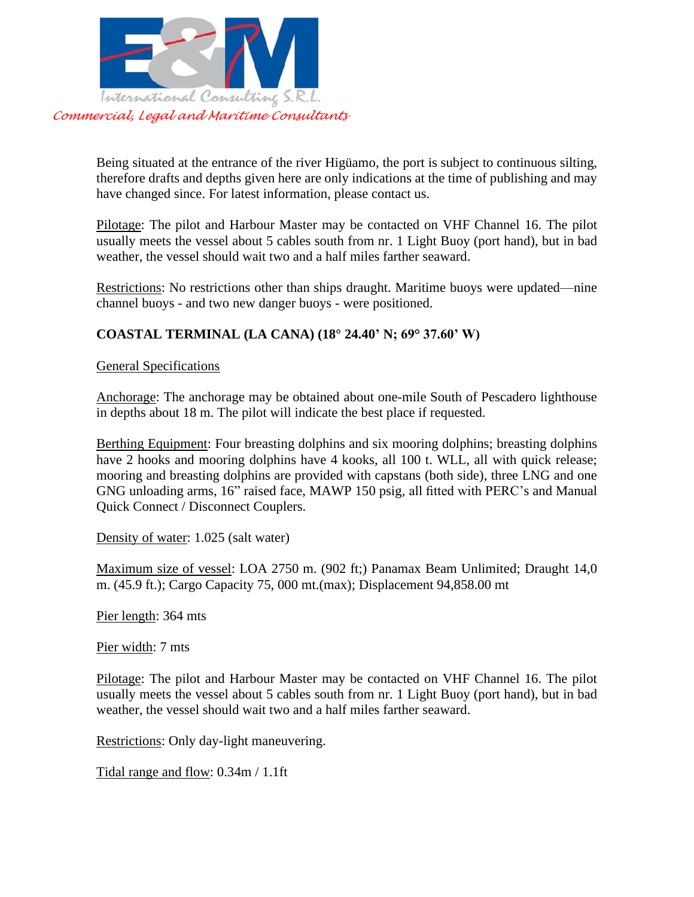

Being situated at the entrance of the river Higüamo, the port is subject to continuous silting, therefore drafts and depths given here are only indications at the time of publishing and may have changed since. For latest information, please contact us.

Pilotage: The pilot and Harbour Master may be contacted on VHF Channel 16. The pilot usually meets the vessel about 5 cables south from nr. 1 Light Buoy (port hand), but in bad weather, the vessel should wait two and a half miles farther seaward.

Restrictions: No restrictions other than ships draught. Maritime buoys were updated—nine channel buoys - and two new danger buoys - were positioned.

# **COASTAL TERMINAL (LA CANA) (18° 24.40' N; 69° 37.60' W)**

General Specifications

Anchorage: The anchorage may be obtained about one-mile South of Pescadero lighthouse in depths about 18 m. The pilot will indicate the best place if requested.

Berthing Equipment: Four breasting dolphins and six mooring dolphins; breasting dolphins have 2 hooks and mooring dolphins have 4 kooks, all 100 t. WLL, all with quick release; mooring and breasting dolphins are provided with capstans (both side), three LNG and one GNG unloading arms, 16" raised face, MAWP 150 psig, all fitted with PERC's and Manual Quick Connect / Disconnect Couplers.

Density of water: 1.025 (salt water)

Maximum size of vessel: LOA 2750 m. (902 ft;) Panamax Beam Unlimited; Draught 14,0 m. (45.9 ft.); Cargo Capacity 75, 000 mt.(max); Displacement 94,858.00 mt

Pier length: 364 mts

Pier width: 7 mts

Pilotage: The pilot and Harbour Master may be contacted on VHF Channel 16. The pilot usually meets the vessel about 5 cables south from nr. 1 Light Buoy (port hand), but in bad weather, the vessel should wait two and a half miles farther seaward.

Restrictions: Only day-light maneuvering.

Tidal range and flow: 0.34m / 1.1ft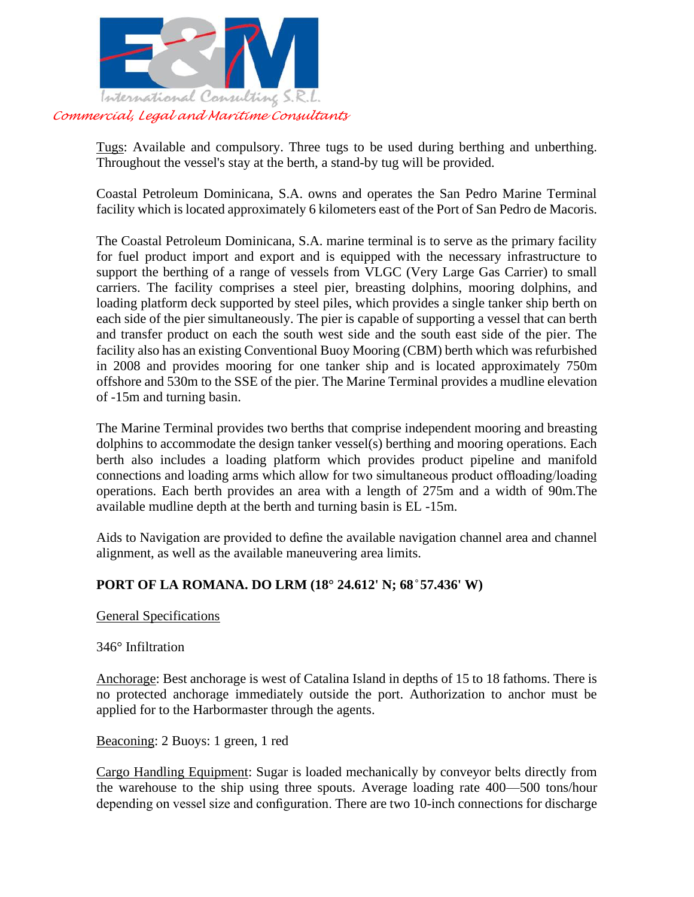

Tugs: Available and compulsory. Three tugs to be used during berthing and unberthing. Throughout the vessel's stay at the berth, a stand-by tug will be provided.

Coastal Petroleum Dominicana, S.A. owns and operates the San Pedro Marine Terminal facility which is located approximately 6 kilometers east of the Port of San Pedro de Macoris.

The Coastal Petroleum Dominicana, S.A. marine terminal is to serve as the primary facility for fuel product import and export and is equipped with the necessary infrastructure to support the berthing of a range of vessels from VLGC (Very Large Gas Carrier) to small carriers. The facility comprises a steel pier, breasting dolphins, mooring dolphins, and loading platform deck supported by steel piles, which provides a single tanker ship berth on each side of the pier simultaneously. The pier is capable of supporting a vessel that can berth and transfer product on each the south west side and the south east side of the pier. The facility also has an existing Conventional Buoy Mooring (CBM) berth which was refurbished in 2008 and provides mooring for one tanker ship and is located approximately 750m offshore and 530m to the SSE of the pier. The Marine Terminal provides a mudline elevation of -15m and turning basin.

The Marine Terminal provides two berths that comprise independent mooring and breasting dolphins to accommodate the design tanker vessel(s) berthing and mooring operations. Each berth also includes a loading platform which provides product pipeline and manifold connections and loading arms which allow for two simultaneous product offloading/loading operations. Each berth provides an area with a length of 275m and a width of 90m.The available mudline depth at the berth and turning basin is EL -15m.

Aids to Navigation are provided to define the available navigation channel area and channel alignment, as well as the available maneuvering area limits.

# **PORT OF LA ROMANA. DO LRM (18° 24.612' N; 68 ̊57.436' W)**

#### General Specifications

#### 346° Infiltration

Anchorage: Best anchorage is west of Catalina Island in depths of 15 to 18 fathoms. There is no protected anchorage immediately outside the port. Authorization to anchor must be applied for to the Harbormaster through the agents.

Beaconing: 2 Buoys: 1 green, 1 red

Cargo Handling Equipment: Sugar is loaded mechanically by conveyor belts directly from the warehouse to the ship using three spouts. Average loading rate 400—500 tons/hour depending on vessel size and configuration. There are two 10-inch connections for discharge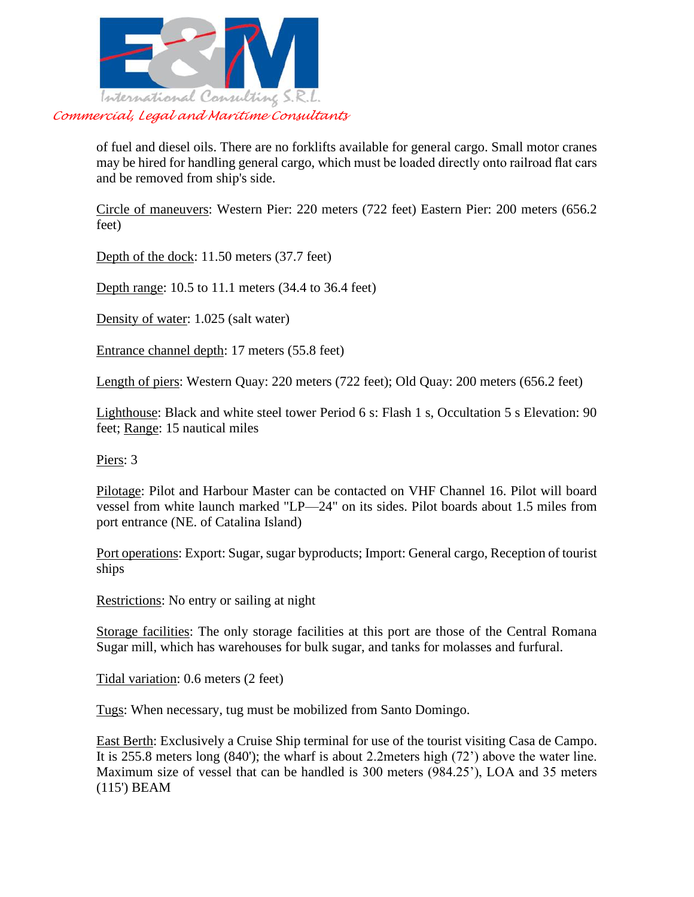

of fuel and diesel oils. There are no forklifts available for general cargo. Small motor cranes may be hired for handling general cargo, which must be loaded directly onto railroad flat cars and be removed from ship's side.

Circle of maneuvers: Western Pier: 220 meters (722 feet) Eastern Pier: 200 meters (656.2 feet)

Depth of the dock: 11.50 meters (37.7 feet)

Depth range: 10.5 to 11.1 meters (34.4 to 36.4 feet)

Density of water: 1.025 (salt water)

Entrance channel depth: 17 meters (55.8 feet)

Length of piers: Western Quay: 220 meters (722 feet); Old Quay: 200 meters (656.2 feet)

Lighthouse: Black and white steel tower Period 6 s: Flash 1 s, Occultation 5 s Elevation: 90 feet; Range: 15 nautical miles

Piers: 3

Pilotage: Pilot and Harbour Master can be contacted on VHF Channel 16. Pilot will board vessel from white launch marked "LP—24" on its sides. Pilot boards about 1.5 miles from port entrance (NE. of Catalina Island)

Port operations: Export: Sugar, sugar byproducts; Import: General cargo, Reception of tourist ships

Restrictions: No entry or sailing at night

Storage facilities: The only storage facilities at this port are those of the Central Romana Sugar mill, which has warehouses for bulk sugar, and tanks for molasses and furfural.

Tidal variation: 0.6 meters (2 feet)

Tugs: When necessary, tug must be mobilized from Santo Domingo.

East Berth: Exclusively a Cruise Ship terminal for use of the tourist visiting Casa de Campo. It is 255.8 meters long (840'); the wharf is about 2.2meters high (72') above the water line. Maximum size of vessel that can be handled is 300 meters (984.25'), LOA and 35 meters (115') BEAM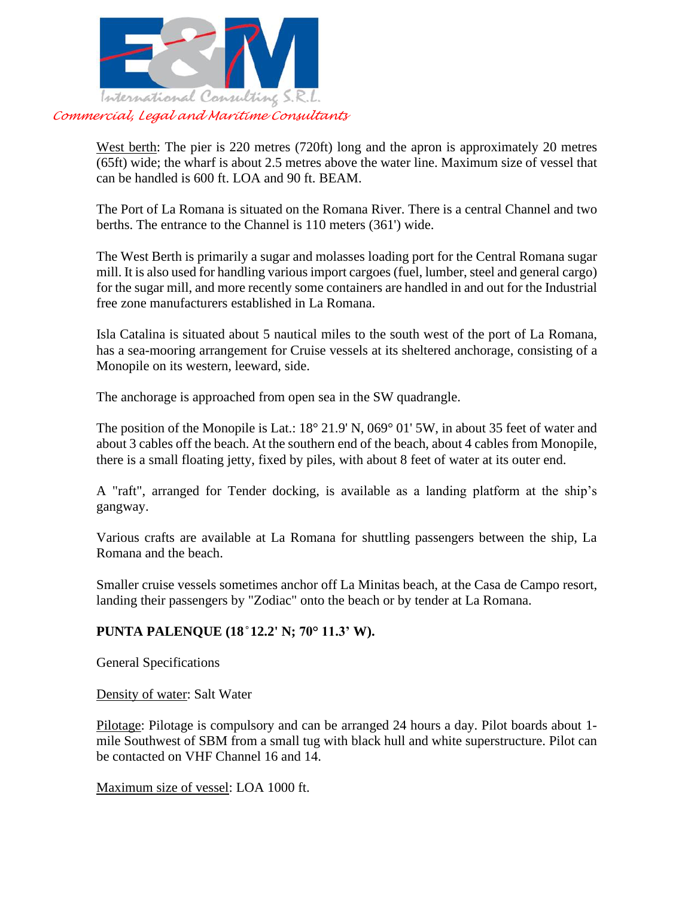

West berth: The pier is 220 metres (720ft) long and the apron is approximately 20 metres (65ft) wide; the wharf is about 2.5 metres above the water line. Maximum size of vessel that can be handled is 600 ft. LOA and 90 ft. BEAM.

The Port of La Romana is situated on the Romana River. There is a central Channel and two berths. The entrance to the Channel is 110 meters (361') wide.

The West Berth is primarily a sugar and molasses loading port for the Central Romana sugar mill. It is also used for handling various import cargoes (fuel, lumber, steel and general cargo) for the sugar mill, and more recently some containers are handled in and out for the Industrial free zone manufacturers established in La Romana.

Isla Catalina is situated about 5 nautical miles to the south west of the port of La Romana, has a sea-mooring arrangement for Cruise vessels at its sheltered anchorage, consisting of a Monopile on its western, leeward, side.

The anchorage is approached from open sea in the SW quadrangle.

The position of the Monopile is Lat.: 18° 21.9' N, 069° 01' 5W, in about 35 feet of water and about 3 cables off the beach. At the southern end of the beach, about 4 cables from Monopile, there is a small floating jetty, fixed by piles, with about 8 feet of water at its outer end.

A "raft", arranged for Tender docking, is available as a landing platform at the ship's gangway.

Various crafts are available at La Romana for shuttling passengers between the ship, La Romana and the beach.

Smaller cruise vessels sometimes anchor off La Minitas beach, at the Casa de Campo resort, landing their passengers by "Zodiac" onto the beach or by tender at La Romana.

# **PUNTA PALENQUE (18 ̊12.2' N; 70° 11.3' W).**

General Specifications

Density of water: Salt Water

Pilotage: Pilotage is compulsory and can be arranged 24 hours a day. Pilot boards about 1 mile Southwest of SBM from a small tug with black hull and white superstructure. Pilot can be contacted on VHF Channel 16 and 14.

Maximum size of vessel: LOA 1000 ft.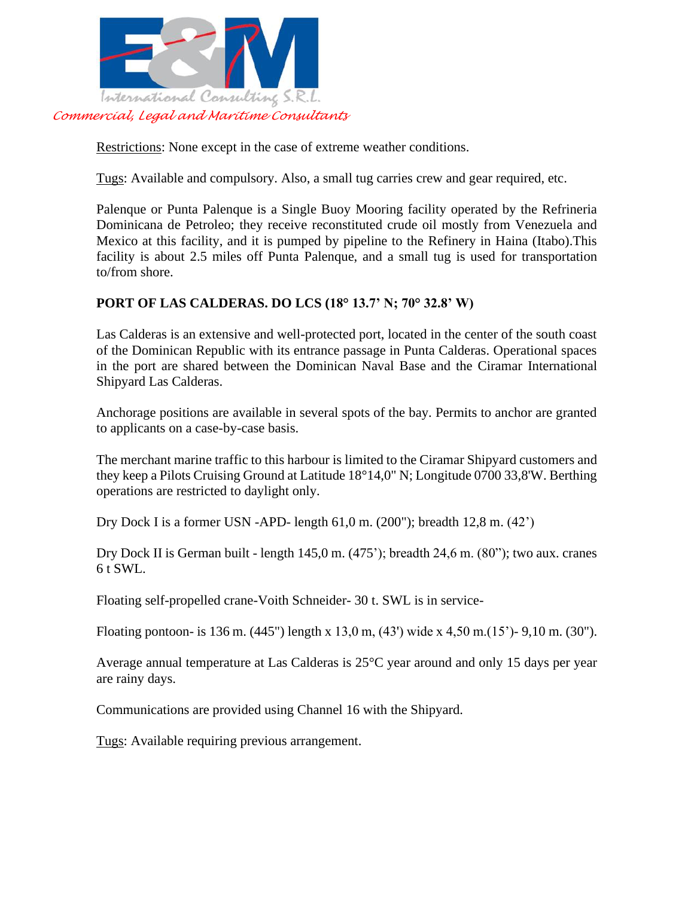

Restrictions: None except in the case of extreme weather conditions.

Tugs: Available and compulsory. Also, a small tug carries crew and gear required, etc.

Palenque or Punta Palenque is a Single Buoy Mooring facility operated by the Refrineria Dominicana de Petroleo; they receive reconstituted crude oil mostly from Venezuela and Mexico at this facility, and it is pumped by pipeline to the Refinery in Haina (Itabo).This facility is about 2.5 miles off Punta Palenque, and a small tug is used for transportation to/from shore.

# **PORT OF LAS CALDERAS. DO LCS (18° 13.7' N; 70° 32.8' W)**

Las Calderas is an extensive and well-protected port, located in the center of the south coast of the Dominican Republic with its entrance passage in Punta Calderas. Operational spaces in the port are shared between the Dominican Naval Base and the Ciramar International Shipyard Las Calderas.

Anchorage positions are available in several spots of the bay. Permits to anchor are granted to applicants on a case-by-case basis.

The merchant marine traffic to this harbour is limited to the Ciramar Shipyard customers and they keep a Pilots Cruising Ground at Latitude 18°14,0" N; Longitude 0700 33,8'W. Berthing operations are restricted to daylight only.

Dry Dock I is a former USN -APD- length 61,0 m. (200"); breadth 12,8 m. (42')

Dry Dock II is German built - length 145,0 m. (475'); breadth 24,6 m. (80"); two aux. cranes  $6 t$  SWL.

Floating self-propelled crane-Voith Schneider- 30 t. SWL is in service-

Floating pontoon- is 136 m. (445") length x 13,0 m, (43') wide x 4,50 m.(15')- 9,10 m. (30").

Average annual temperature at Las Calderas is 25°C year around and only 15 days per year are rainy days.

Communications are provided using Channel 16 with the Shipyard.

Tugs: Available requiring previous arrangement.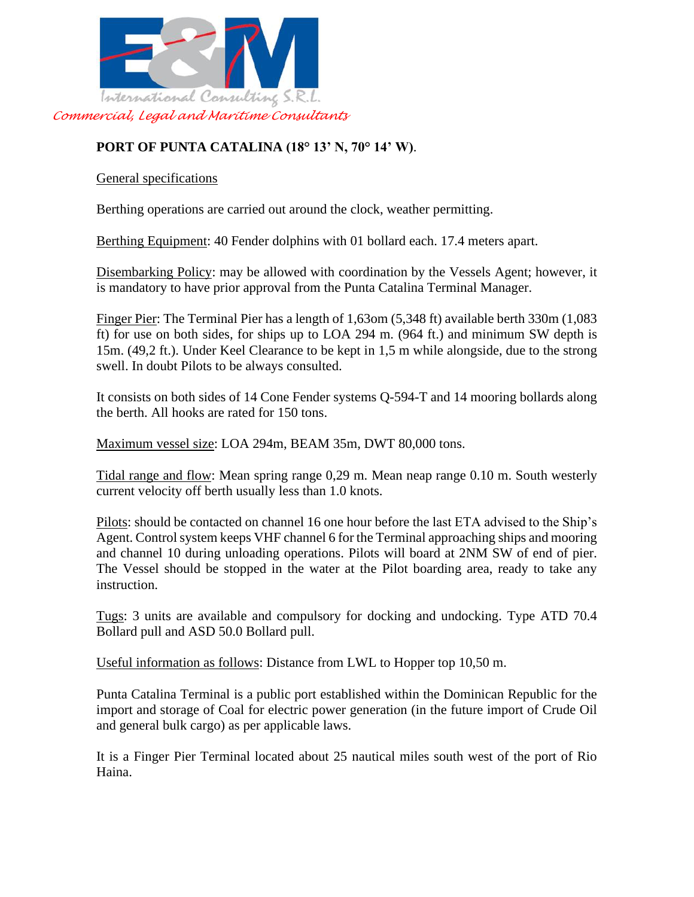

# **PORT OF PUNTA CATALINA (18° 13' N, 70° 14' W)**.

General specifications

Berthing operations are carried out around the clock, weather permitting.

Berthing Equipment: 40 Fender dolphins with 01 bollard each. 17.4 meters apart.

Disembarking Policy: may be allowed with coordination by the Vessels Agent; however, it is mandatory to have prior approval from the Punta Catalina Terminal Manager.

Finger Pier: The Terminal Pier has a length of 1,63om (5,348 ft) available berth 330m (1,083 ft) for use on both sides, for ships up to LOA 294 m. (964 ft.) and minimum SW depth is 15m. (49,2 ft.). Under Keel Clearance to be kept in 1,5 m while alongside, due to the strong swell. In doubt Pilots to be always consulted.

It consists on both sides of 14 Cone Fender systems Q-594-T and 14 mooring bollards along the berth. All hooks are rated for 150 tons.

Maximum vessel size: LOA 294m, BEAM 35m, DWT 80,000 tons.

Tidal range and flow: Mean spring range 0,29 m. Mean neap range 0.10 m. South westerly current velocity off berth usually less than 1.0 knots.

Pilots: should be contacted on channel 16 one hour before the last ETA advised to the Ship's Agent. Control system keeps VHF channel 6 for the Terminal approaching ships and mooring and channel 10 during unloading operations. Pilots will board at 2NM SW of end of pier. The Vessel should be stopped in the water at the Pilot boarding area, ready to take any instruction.

Tugs: 3 units are available and compulsory for docking and undocking. Type ATD 70.4 Bollard pull and ASD 50.0 Bollard pull.

Useful information as follows: Distance from LWL to Hopper top 10,50 m.

Punta Catalina Terminal is a public port established within the Dominican Republic for the import and storage of Coal for electric power generation (in the future import of Crude Oil and general bulk cargo) as per applicable laws.

It is a Finger Pier Terminal located about 25 nautical miles south west of the port of Rio Haina.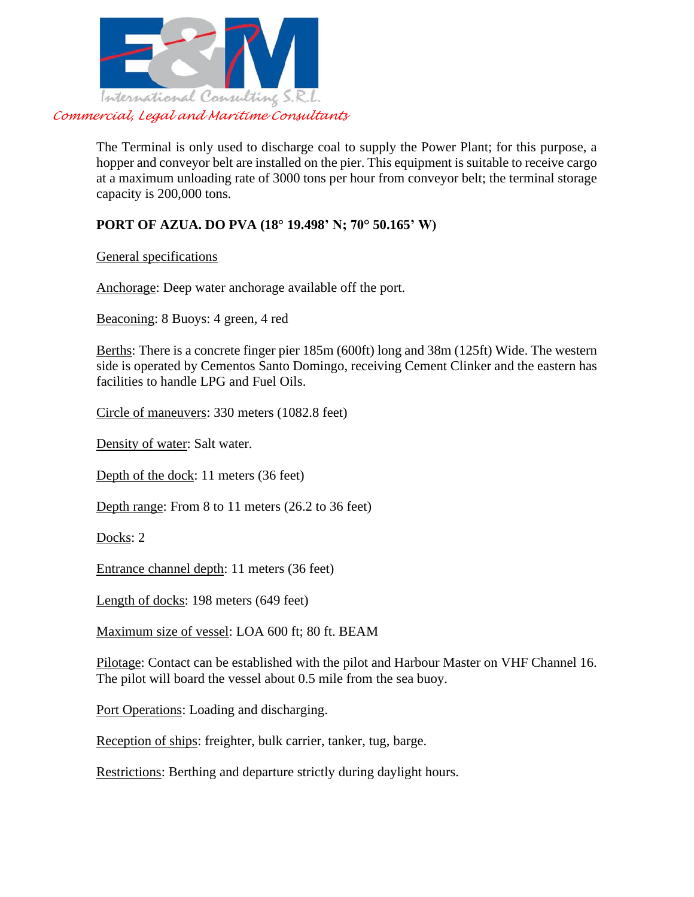

The Terminal is only used to discharge coal to supply the Power Plant; for this purpose, a hopper and conveyor belt are installed on the pier. This equipment is suitable to receive cargo at a maximum unloading rate of 3000 tons per hour from conveyor belt; the terminal storage capacity is 200,000 tons.

# **PORT OF AZUA. DO PVA (18° 19.498' N; 70° 50.165' W)**

General specifications

Anchorage: Deep water anchorage available off the port.

Beaconing: 8 Buoys: 4 green, 4 red

Berths: There is a concrete finger pier 185m (600ft) long and 38m (125ft) Wide. The western side is operated by Cementos Santo Domingo, receiving Cement Clinker and the eastern has facilities to handle LPG and Fuel Oils.

Circle of maneuvers: 330 meters (1082.8 feet)

Density of water: Salt water.

Depth of the dock: 11 meters (36 feet)

Depth range: From 8 to 11 meters (26.2 to 36 feet)

Docks: 2

Entrance channel depth: 11 meters (36 feet)

Length of docks: 198 meters (649 feet)

Maximum size of vessel: LOA 600 ft; 80 ft. BEAM

Pilotage: Contact can be established with the pilot and Harbour Master on VHF Channel 16. The pilot will board the vessel about 0.5 mile from the sea buoy.

Port Operations: Loading and discharging.

Reception of ships: freighter, bulk carrier, tanker, tug, barge.

Restrictions: Berthing and departure strictly during daylight hours.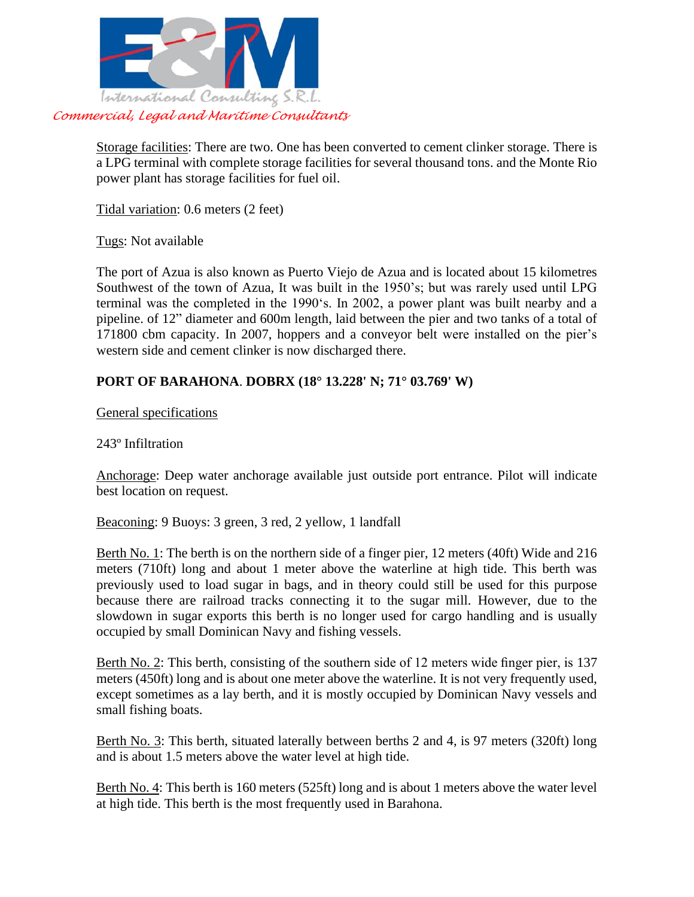

Storage facilities: There are two. One has been converted to cement clinker storage. There is a LPG terminal with complete storage facilities for several thousand tons. and the Monte Rio power plant has storage facilities for fuel oil.

Tidal variation: 0.6 meters (2 feet)

Tugs: Not available

The port of Azua is also known as Puerto Viejo de Azua and is located about 15 kilometres Southwest of the town of Azua, It was built in the 1950's; but was rarely used until LPG terminal was the completed in the 1990's. In 2002, a power plant was built nearby and a pipeline. of 12" diameter and 600m length, laid between the pier and two tanks of a total of 171800 cbm capacity. In 2007, hoppers and a conveyor belt were installed on the pier's western side and cement clinker is now discharged there.

# **PORT OF BARAHONA**. **DOBRX (18° 13.228' N; 71° 03.769' W)**

General specifications

243º Infiltration

Anchorage: Deep water anchorage available just outside port entrance. Pilot will indicate best location on request.

Beaconing: 9 Buoys: 3 green, 3 red, 2 yellow, 1 landfall

Berth No. 1: The berth is on the northern side of a finger pier, 12 meters (40ft) Wide and 216 meters (710ft) long and about 1 meter above the waterline at high tide. This berth was previously used to load sugar in bags, and in theory could still be used for this purpose because there are railroad tracks connecting it to the sugar mill. However, due to the slowdown in sugar exports this berth is no longer used for cargo handling and is usually occupied by small Dominican Navy and fishing vessels.

Berth No. 2: This berth, consisting of the southern side of 12 meters wide finger pier, is 137 meters (450ft) long and is about one meter above the waterline. It is not very frequently used, except sometimes as a lay berth, and it is mostly occupied by Dominican Navy vessels and small fishing boats.

Berth No. 3: This berth, situated laterally between berths 2 and 4, is 97 meters (320ft) long and is about 1.5 meters above the water level at high tide.

Berth No. 4: This berth is 160 meters (525ft) long and is about 1 meters above the water level at high tide. This berth is the most frequently used in Barahona.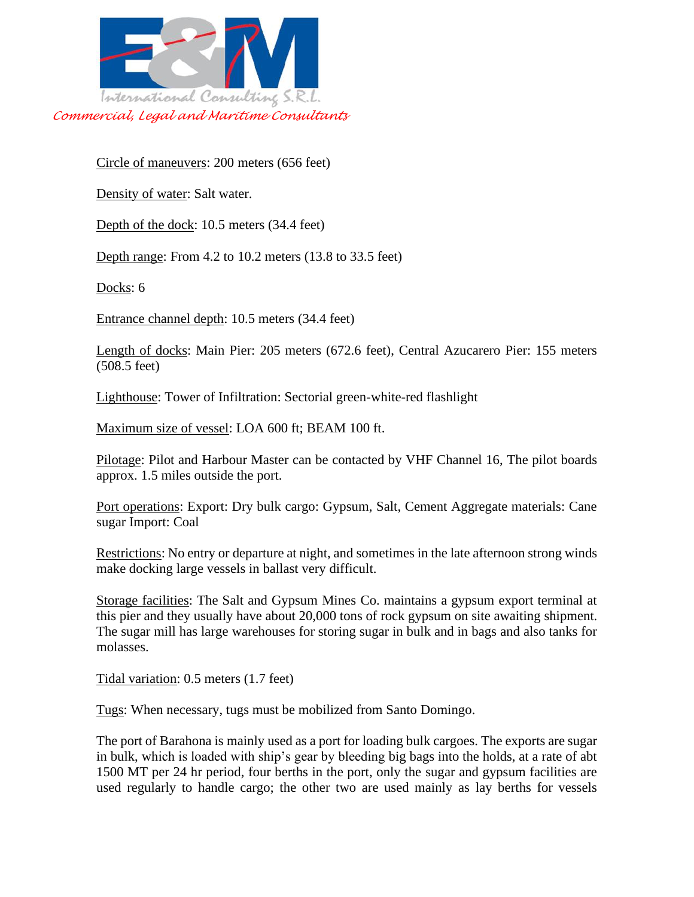

Circle of maneuvers: 200 meters (656 feet)

Density of water: Salt water.

Depth of the dock: 10.5 meters (34.4 feet)

Depth range: From 4.2 to 10.2 meters (13.8 to 33.5 feet)

Docks: 6

Entrance channel depth: 10.5 meters (34.4 feet)

Length of docks: Main Pier: 205 meters (672.6 feet), Central Azucarero Pier: 155 meters (508.5 feet)

Lighthouse: Tower of Infiltration: Sectorial green-white-red flashlight

Maximum size of vessel: LOA 600 ft; BEAM 100 ft.

Pilotage: Pilot and Harbour Master can be contacted by VHF Channel 16, The pilot boards approx. 1.5 miles outside the port.

Port operations: Export: Dry bulk cargo: Gypsum, Salt, Cement Aggregate materials: Cane sugar Import: Coal

Restrictions: No entry or departure at night, and sometimes in the late afternoon strong winds make docking large vessels in ballast very difficult.

Storage facilities: The Salt and Gypsum Mines Co. maintains a gypsum export terminal at this pier and they usually have about 20,000 tons of rock gypsum on site awaiting shipment. The sugar mill has large warehouses for storing sugar in bulk and in bags and also tanks for molasses.

Tidal variation: 0.5 meters (1.7 feet)

Tugs: When necessary, tugs must be mobilized from Santo Domingo.

The port of Barahona is mainly used as a port for loading bulk cargoes. The exports are sugar in bulk, which is loaded with ship's gear by bleeding big bags into the holds, at a rate of abt 1500 MT per 24 hr period, four berths in the port, only the sugar and gypsum facilities are used regularly to handle cargo; the other two are used mainly as lay berths for vessels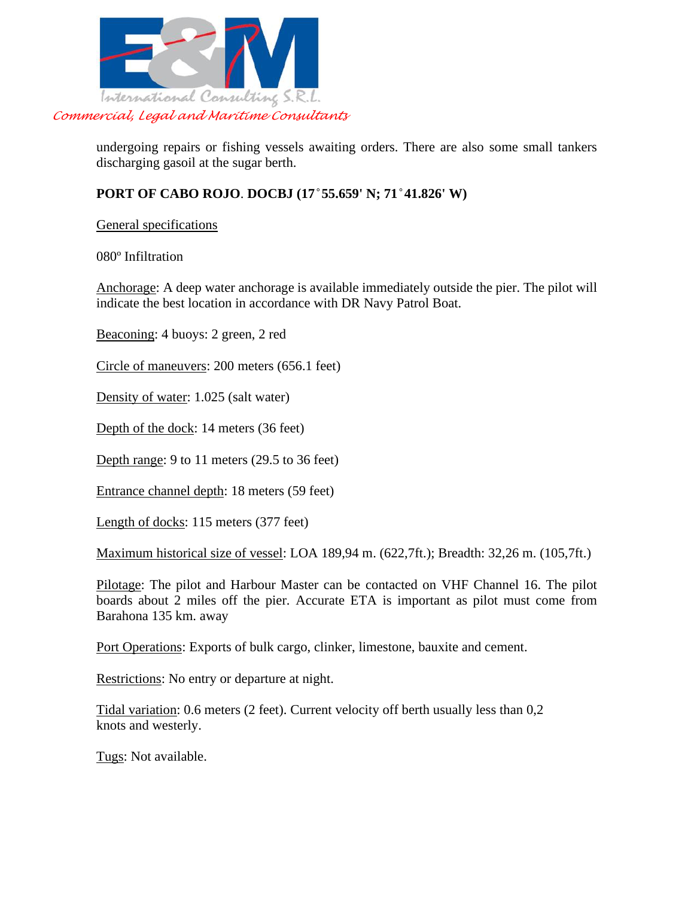

undergoing repairs or fishing vessels awaiting orders. There are also some small tankers discharging gasoil at the sugar berth.

### **PORT OF CABO ROJO**. **DOCBJ (17 ̊55.659' N; 71 ̊41.826' W)**

General specifications

080º Infiltration

Anchorage: A deep water anchorage is available immediately outside the pier. The pilot will indicate the best location in accordance with DR Navy Patrol Boat.

Beaconing: 4 buoys: 2 green, 2 red

Circle of maneuvers: 200 meters (656.1 feet)

Density of water: 1.025 (salt water)

Depth of the dock: 14 meters (36 feet)

Depth range: 9 to 11 meters (29.5 to 36 feet)

Entrance channel depth: 18 meters (59 feet)

Length of docks: 115 meters (377 feet)

Maximum historical size of vessel: LOA 189,94 m. (622,7ft.); Breadth: 32,26 m. (105,7ft.)

Pilotage: The pilot and Harbour Master can be contacted on VHF Channel 16. The pilot boards about 2 miles off the pier. Accurate ETA is important as pilot must come from Barahona 135 km. away

Port Operations: Exports of bulk cargo, clinker, limestone, bauxite and cement.

Restrictions: No entry or departure at night.

Tidal variation: 0.6 meters (2 feet). Current velocity off berth usually less than 0,2 knots and westerly.

Tugs: Not available.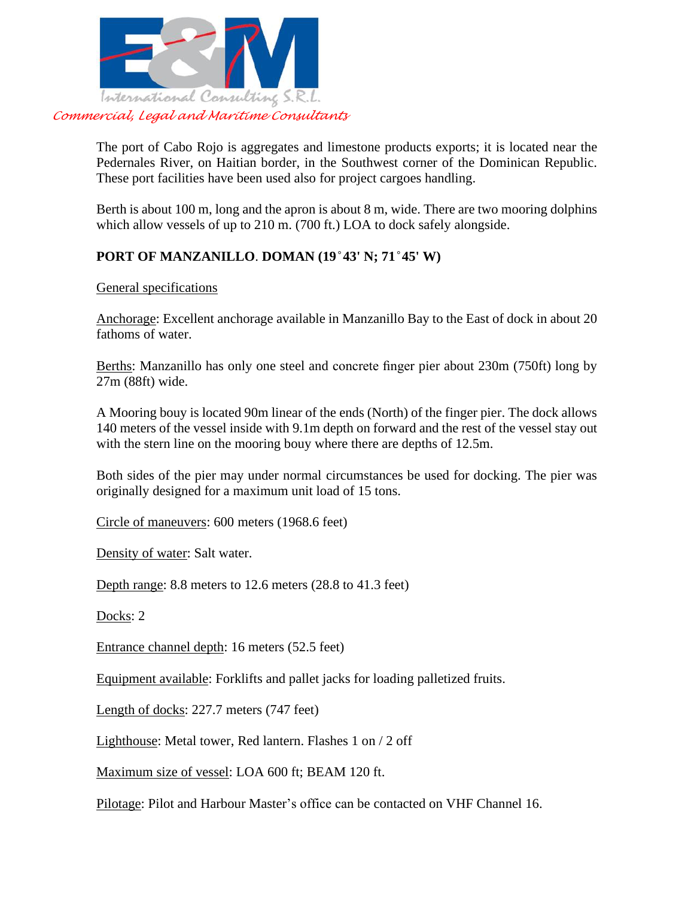

The port of Cabo Rojo is aggregates and limestone products exports; it is located near the Pedernales River, on Haitian border, in the Southwest corner of the Dominican Republic. These port facilities have been used also for project cargoes handling.

Berth is about 100 m, long and the apron is about 8 m, wide. There are two mooring dolphins which allow vessels of up to 210 m. (700 ft.) LOA to dock safely alongside.

# **PORT OF MANZANILLO**. **DOMAN (19 ̊43' N; 71 ̊45' W)**

General specifications

Anchorage: Excellent anchorage available in Manzanillo Bay to the East of dock in about 20 fathoms of water.

Berths: Manzanillo has only one steel and concrete finger pier about 230m (750ft) long by 27m (88ft) wide.

A Mooring bouy is located 90m linear of the ends (North) of the finger pier. The dock allows 140 meters of the vessel inside with 9.1m depth on forward and the rest of the vessel stay out with the stern line on the mooring bouy where there are depths of 12.5m.

Both sides of the pier may under normal circumstances be used for docking. The pier was originally designed for a maximum unit load of 15 tons.

Circle of maneuvers: 600 meters (1968.6 feet)

Density of water: Salt water.

Depth range: 8.8 meters to 12.6 meters (28.8 to 41.3 feet)

Docks: 2

Entrance channel depth: 16 meters (52.5 feet)

Equipment available: Forklifts and pallet jacks for loading palletized fruits.

Length of docks: 227.7 meters (747 feet)

Lighthouse: Metal tower, Red lantern. Flashes 1 on / 2 off

Maximum size of vessel: LOA 600 ft; BEAM 120 ft.

Pilotage: Pilot and Harbour Master's office can be contacted on VHF Channel 16.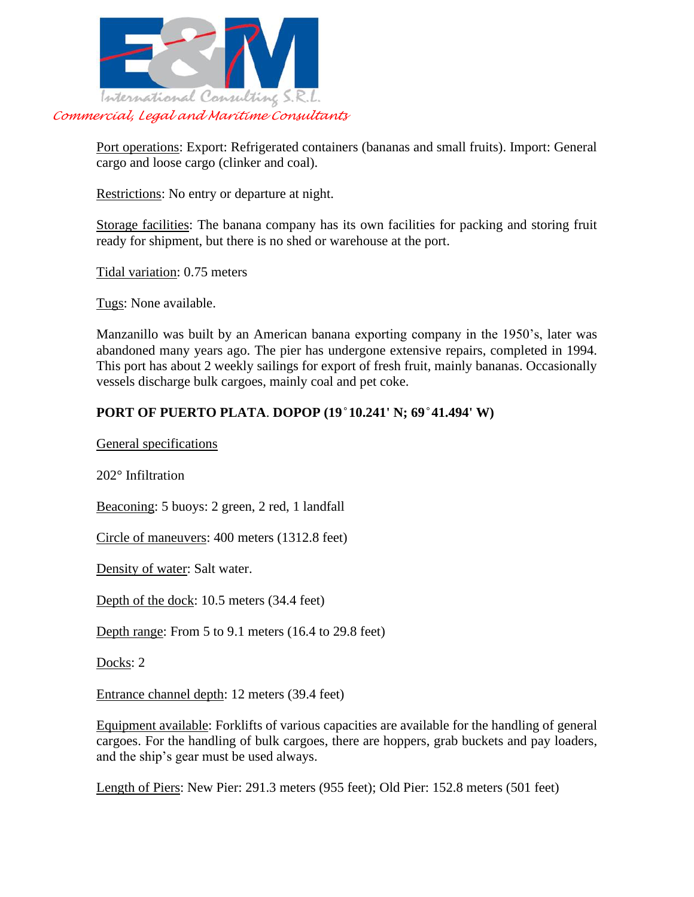

Port operations: Export: Refrigerated containers (bananas and small fruits). Import: General cargo and loose cargo (clinker and coal).

Restrictions: No entry or departure at night.

Storage facilities: The banana company has its own facilities for packing and storing fruit ready for shipment, but there is no shed or warehouse at the port.

Tidal variation: 0.75 meters

Tugs: None available.

Manzanillo was built by an American banana exporting company in the 1950's, later was abandoned many years ago. The pier has undergone extensive repairs, completed in 1994. This port has about 2 weekly sailings for export of fresh fruit, mainly bananas. Occasionally vessels discharge bulk cargoes, mainly coal and pet coke.

#### **PORT OF PUERTO PLATA**. **DOPOP (19 ̊10.241' N; 69 ̊41.494' W)**

General specifications

202° Infiltration

Beaconing: 5 buoys: 2 green, 2 red, 1 landfall

Circle of maneuvers: 400 meters (1312.8 feet)

Density of water: Salt water.

Depth of the dock: 10.5 meters (34.4 feet)

Depth range: From 5 to 9.1 meters (16.4 to 29.8 feet)

Docks: 2

Entrance channel depth: 12 meters (39.4 feet)

Equipment available: Forklifts of various capacities are available for the handling of general cargoes. For the handling of bulk cargoes, there are hoppers, grab buckets and pay loaders, and the ship's gear must be used always.

Length of Piers: New Pier: 291.3 meters (955 feet); Old Pier: 152.8 meters (501 feet)